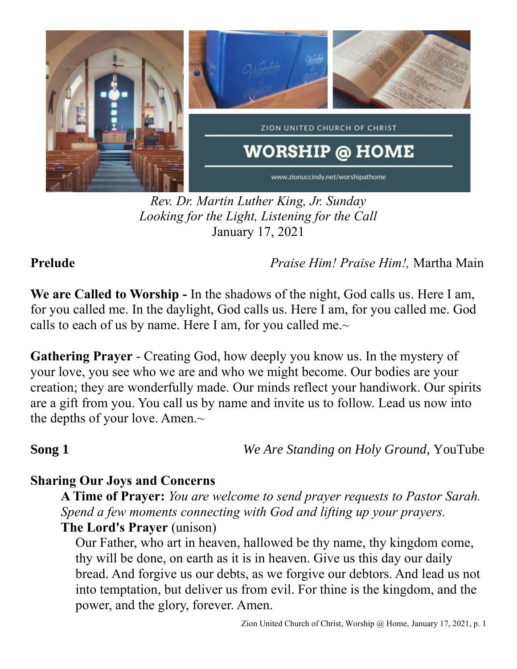

*Rev. Dr. Martin Luther King, Jr. Sunday Looking for the Light, Listening for the Call* January 17, 2021

**Prelude** *Praise Him! Praise Him!,* Martha Main

**We are Called to Worship -** In the shadows of the night, God calls us. Here I am, for you called me. In the daylight, God calls us. Here I am, for you called me. God calls to each of us by name. Here I am, for you called me. $\sim$ 

**Gathering Prayer** - Creating God, how deeply you know us. In the mystery of your love, you see who we are and who we might become. Our bodies are your creation; they are wonderfully made. Our minds reflect your handiwork. Our spirits are a gift from you. You call us by name and invite us to follow. Lead us now into the depths of your love. Amen.~

**Song 1** *We Are Standing on Holy Ground,* YouTube

# **Sharing Our Joys and Concerns**

**A Time of Prayer:** *You are welcome to send prayer requests to Pastor Sarah. Spend a few moments connecting with God and lifting up your prayers.* **The Lord's Prayer** (unison)

Our Father, who art in heaven, hallowed be thy name, thy kingdom come, thy will be done, on earth as it is in heaven. Give us this day our daily bread. And forgive us our debts, as we forgive our debtors. And lead us not into temptation, but deliver us from evil. For thine is the kingdom, and the power, and the glory, forever. Amen.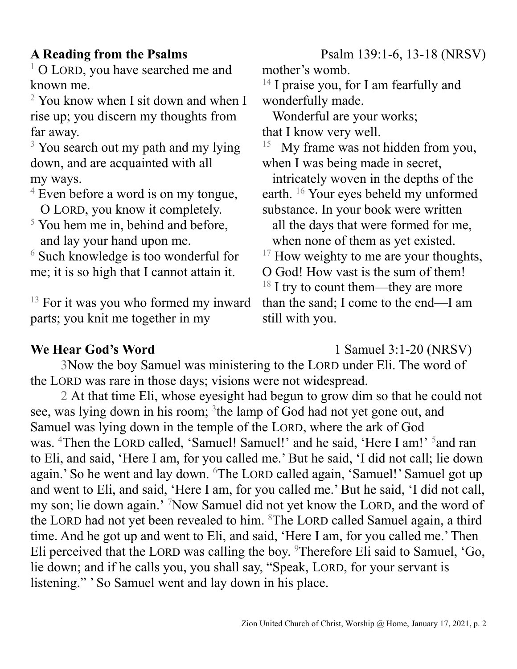$1$  O LORD, you have searched me and known me.

 $2$  You know when I sit down and when I rise up; you discern my thoughts from far away.

 $3$  You search out my path and my lying down, and are acquainted with all my ways.

 $4$  Even before a word is on my tongue, O LORD, you know it completely.

 $<sup>5</sup>$  You hem me in, behind and before,</sup> and lay your hand upon me.

<sup>6</sup> Such knowledge is too wonderful for me; it is so high that I cannot attain it.

<sup>13</sup> For it was you who formed my inward parts; you knit me together in my

**A Reading from the Psalms** Psalm 139:1-6, 13-18 (NRSV)

mother's womb.

 $14$  I praise you, for I am fearfully and wonderfully made.

 Wonderful are your works; that I know very well.

15 My frame was not hidden from you, when I was being made in secret,

 intricately woven in the depths of the earth. <sup>16</sup> Your eyes beheld my unformed substance. In your book were written

 all the days that were formed for me, when none of them as yet existed.

 $17$  How weighty to me are your thoughts,

O God! How vast is the sum of them!  $18$  I try to count them—they are more than the sand; I come to the end—I am still with you.

**We Hear God's Word** 1 Samuel 3:1-20 (NRSV)

3Now the boy Samuel was ministering to the LORD under Eli. The word of the LORD was rare in those days; visions were not widespread.

2 At that time Eli, whose eyesight had begun to grow dim so that he could not see, was lying down in his room; <sup>3</sup>the lamp of God had not yet gone out, and Samuel was lying down in the temple of the LORD, where the ark of God was. <sup>4</sup>Then the LORD called, 'Samuel! Samuel!' and he said, 'Here I am!' <sup>5</sup>and ran to Eli, and said, 'Here I am, for you called me.' But he said, 'I did not call; lie down again.' So he went and lay down. <sup>6</sup>The LORD called again, 'Samuel!' Samuel got up and went to Eli, and said, 'Here I am, for you called me.' But he said, 'I did not call, my son; lie down again.' <sup>7</sup>Now Samuel did not yet know the LORD, and the word of the LORD had not yet been revealed to him. <sup>8</sup>The LORD called Samuel again, a third time. And he got up and went to Eli, and said, 'Here I am, for you called me.' Then Eli perceived that the LORD was calling the boy. <sup>9</sup>Therefore Eli said to Samuel, 'Go, lie down; and if he calls you, you shall say, "Speak, LORD, for your servant is listening." ' So Samuel went and lay down in his place.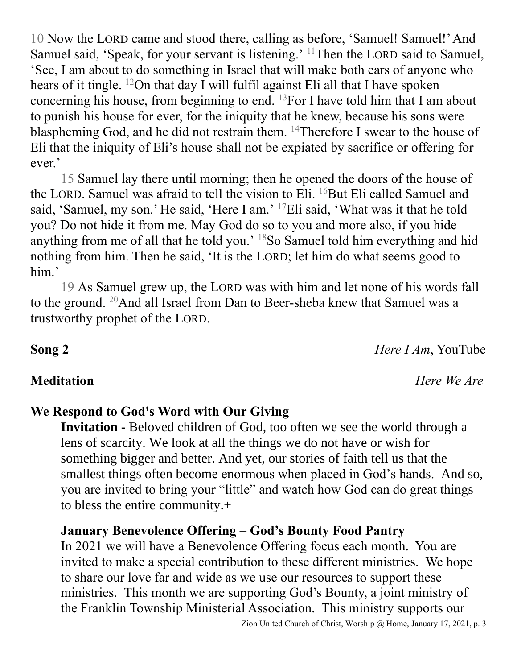10 Now the LORD came and stood there, calling as before, 'Samuel! Samuel!' And Samuel said, 'Speak, for your servant is listening.' <sup>11</sup>Then the LORD said to Samuel, 'See, I am about to do something in Israel that will make both ears of anyone who hears of it tingle. <sup>12</sup>On that day I will fulfil against Eli all that I have spoken concerning his house, from beginning to end.  $^{13}$ For I have told him that I am about to punish his house for ever, for the iniquity that he knew, because his sons were blaspheming God, and he did not restrain them. <sup>14</sup>Therefore I swear to the house of Eli that the iniquity of Eli's house shall not be expiated by sacrifice or offering for ever.'

15 Samuel lay there until morning; then he opened the doors of the house of the LORD. Samuel was afraid to tell the vision to Eli. <sup>16</sup>But Eli called Samuel and said, 'Samuel, my son.' He said, 'Here I am.' <sup>17</sup>Eli said, 'What was it that he told you? Do not hide it from me. May God do so to you and more also, if you hide anything from me of all that he told you.' <sup>18</sup>So Samuel told him everything and hid nothing from him. Then he said, 'It is the LORD; let him do what seems good to him.'

19 As Samuel grew up, the LORD was with him and let none of his words fall to the ground. <sup>20</sup>And all Israel from Dan to Beer-sheba knew that Samuel was a trustworthy prophet of the LORD.

**Song 2** *Here I Am*, YouTube

**Meditation** *Here We Are*

# **We Respond to God's Word with Our Giving**

**Invitation -** Beloved children of God, too often we see the world through a lens of scarcity. We look at all the things we do not have or wish for something bigger and better. And yet, our stories of faith tell us that the smallest things often become enormous when placed in God's hands. And so, you are invited to bring your "little" and watch how God can do great things to bless the entire community.+

## **January Benevolence Offering – God's Bounty Food Pantry**

In 2021 we will have a Benevolence Offering focus each month. You are invited to make a special contribution to these different ministries. We hope to share our love far and wide as we use our resources to support these ministries. This month we are supporting God's Bounty, a joint ministry of the Franklin Township Ministerial Association. This ministry supports our